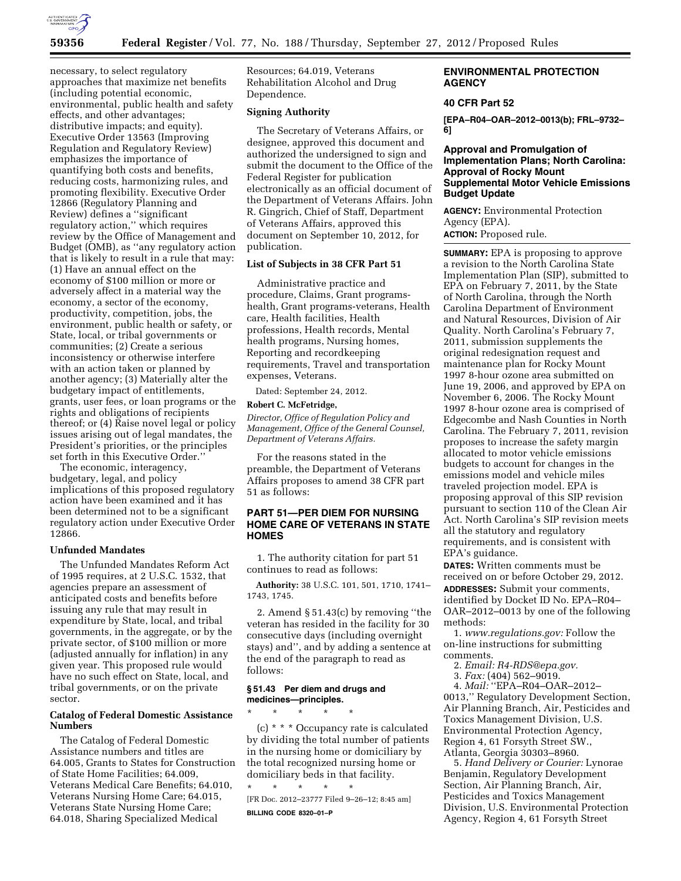

necessary, to select regulatory approaches that maximize net benefits (including potential economic, environmental, public health and safety effects, and other advantages; distributive impacts; and equity). Executive Order 13563 (Improving Regulation and Regulatory Review) emphasizes the importance of quantifying both costs and benefits, reducing costs, harmonizing rules, and promoting flexibility. Executive Order 12866 (Regulatory Planning and Review) defines a ''significant regulatory action,'' which requires review by the Office of Management and Budget (OMB), as ''any regulatory action that is likely to result in a rule that may: (1) Have an annual effect on the economy of \$100 million or more or adversely affect in a material way the economy, a sector of the economy, productivity, competition, jobs, the environment, public health or safety, or State, local, or tribal governments or communities; (2) Create a serious inconsistency or otherwise interfere with an action taken or planned by another agency; (3) Materially alter the budgetary impact of entitlements, grants, user fees, or loan programs or the rights and obligations of recipients thereof; or (4) Raise novel legal or policy issues arising out of legal mandates, the President's priorities, or the principles set forth in this Executive Order.''

The economic, interagency, budgetary, legal, and policy implications of this proposed regulatory action have been examined and it has been determined not to be a significant regulatory action under Executive Order 12866.

## **Unfunded Mandates**

The Unfunded Mandates Reform Act of 1995 requires, at 2 U.S.C. 1532, that agencies prepare an assessment of anticipated costs and benefits before issuing any rule that may result in expenditure by State, local, and tribal governments, in the aggregate, or by the private sector, of \$100 million or more (adjusted annually for inflation) in any given year. This proposed rule would have no such effect on State, local, and tribal governments, or on the private sector.

### **Catalog of Federal Domestic Assistance Numbers**

The Catalog of Federal Domestic Assistance numbers and titles are 64.005, Grants to States for Construction of State Home Facilities; 64.009, Veterans Medical Care Benefits; 64.010, Veterans Nursing Home Care; 64.015, Veterans State Nursing Home Care; 64.018, Sharing Specialized Medical

Resources; 64.019, Veterans Rehabilitation Alcohol and Drug Dependence.

#### **Signing Authority**

The Secretary of Veterans Affairs, or designee, approved this document and authorized the undersigned to sign and submit the document to the Office of the Federal Register for publication electronically as an official document of the Department of Veterans Affairs. John R. Gingrich, Chief of Staff, Department of Veterans Affairs, approved this document on September 10, 2012, for publication.

### **List of Subjects in 38 CFR Part 51**

Administrative practice and procedure, Claims, Grant programshealth, Grant programs-veterans, Health care, Health facilities, Health professions, Health records, Mental health programs, Nursing homes, Reporting and recordkeeping requirements, Travel and transportation expenses, Veterans.

Dated: September 24, 2012.

#### **Robert C. McFetridge,**

*Director, Office of Regulation Policy and Management, Office of the General Counsel, Department of Veterans Affairs.* 

For the reasons stated in the preamble, the Department of Veterans Affairs proposes to amend 38 CFR part 51 as follows:

## **PART 51—PER DIEM FOR NURSING HOME CARE OF VETERANS IN STATE HOMES**

1. The authority citation for part 51 continues to read as follows:

**Authority:** 38 U.S.C. 101, 501, 1710, 1741– 1743, 1745.

2. Amend § 51.43(c) by removing ''the veteran has resided in the facility for 30 consecutive days (including overnight stays) and'', and by adding a sentence at the end of the paragraph to read as follows:

#### **§ 51.43 Per diem and drugs and medicines—principles.**

\* \* \* \* \* (c) \* \* \* Occupancy rate is calculated by dividing the total number of patients in the nursing home or domiciliary by the total recognized nursing home or domiciliary beds in that facility. \* \* \* \* \*

[FR Doc. 2012–23777 Filed 9–26–12; 8:45 am] **BILLING CODE 8320–01–P** 

## **ENVIRONMENTAL PROTECTION AGENCY**

## **40 CFR Part 52**

**[EPA–R04–OAR–2012–0013(b); FRL–9732– 6]** 

## **Approval and Promulgation of Implementation Plans; North Carolina: Approval of Rocky Mount Supplemental Motor Vehicle Emissions Budget Update**

**AGENCY:** Environmental Protection Agency (EPA).

**ACTION:** Proposed rule.

**SUMMARY:** EPA is proposing to approve a revision to the North Carolina State Implementation Plan (SIP), submitted to EPA on February 7, 2011, by the State of North Carolina, through the North Carolina Department of Environment and Natural Resources, Division of Air Quality. North Carolina's February 7, 2011, submission supplements the original redesignation request and maintenance plan for Rocky Mount 1997 8-hour ozone area submitted on June 19, 2006, and approved by EPA on November 6, 2006. The Rocky Mount 1997 8-hour ozone area is comprised of Edgecombe and Nash Counties in North Carolina. The February 7, 2011, revision proposes to increase the safety margin allocated to motor vehicle emissions budgets to account for changes in the emissions model and vehicle miles traveled projection model. EPA is proposing approval of this SIP revision pursuant to section 110 of the Clean Air Act. North Carolina's SIP revision meets all the statutory and regulatory requirements, and is consistent with EPA's guidance.

**DATES:** Written comments must be received on or before October 29, 2012. **ADDRESSES:** Submit your comments, identified by Docket ID No. EPA–R04– OAR–2012–0013 by one of the following methods:

1. *[www.regulations.gov:](http://www.regulations.gov)* Follow the on-line instructions for submitting comments.

2. *Email: [R4-RDS@epa.gov.](mailto:R4-RDS@epa.gov)* 

3. *Fax:* (404) 562–9019.

4. *Mail:* ''EPA–R04–OAR–2012– 0013,'' Regulatory Development Section, Air Planning Branch, Air, Pesticides and Toxics Management Division, U.S. Environmental Protection Agency, Region 4, 61 Forsyth Street SW., Atlanta, Georgia 30303–8960.

5. *Hand Delivery or Courier:* Lynorae Benjamin, Regulatory Development Section, Air Planning Branch, Air, Pesticides and Toxics Management Division, U.S. Environmental Protection Agency, Region 4, 61 Forsyth Street